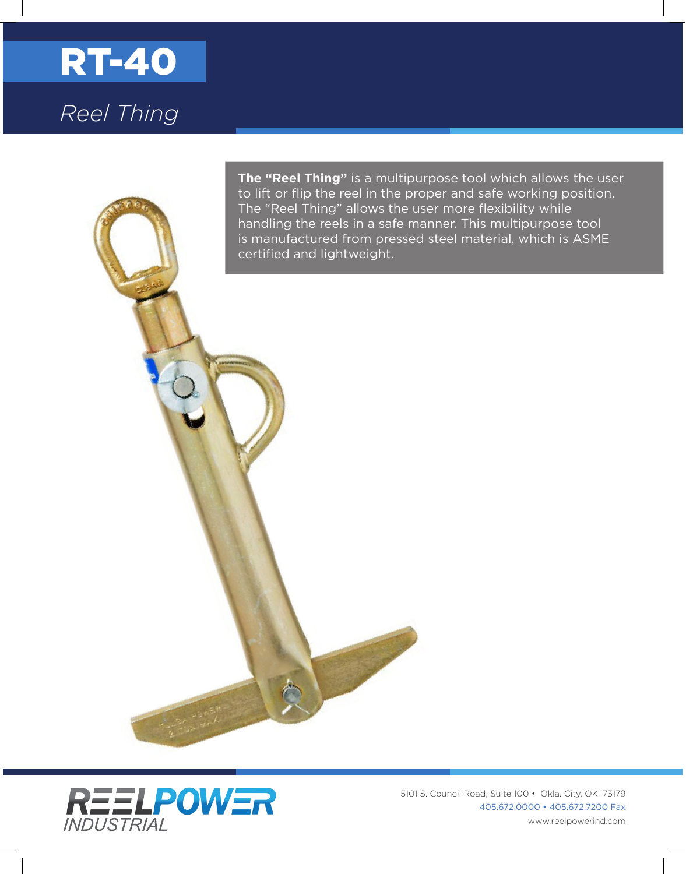

**The "Reel Thing"** is a multipurpose tool which allows the user to lift or flip the reel in the proper and safe working position. The "Reel Thing" allows the user more flexibility while handling the reels in a safe manner. This multipurpose tool is manufactured from pressed steel material, which is ASME certified and lightweight.



5101 S. Council Road, Suite 100 • Okla. City, OK. 73179 405.672.0000 • 405.672.7200 Fax www.reelpowerind.com